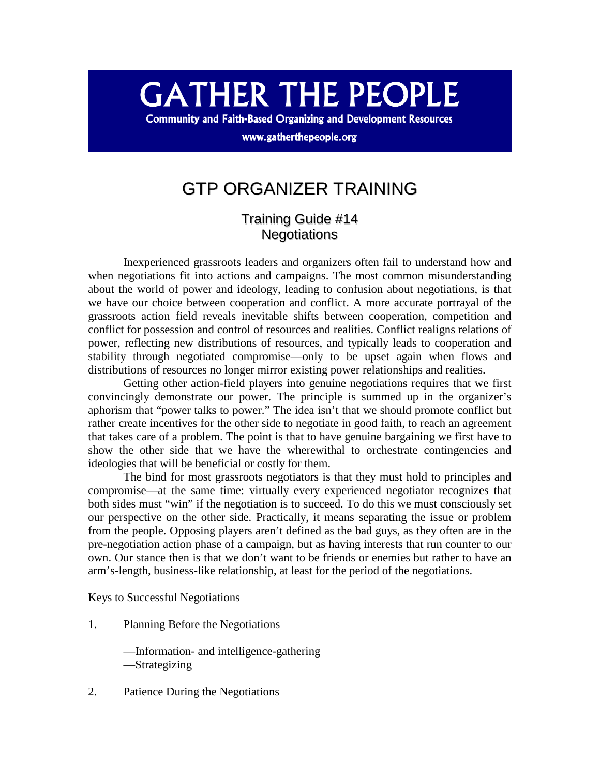# **GATHER THE PEOPLE**

**Community and Faith-Based Organizing and Development Resources** 

www.gatherthepeople.org

## GTP ORGANIZER TRAINING

### Training Guide #14 **Negotiations**

 Inexperienced grassroots leaders and organizers often fail to understand how and when negotiations fit into actions and campaigns. The most common misunderstanding about the world of power and ideology, leading to confusion about negotiations, is that we have our choice between cooperation and conflict. A more accurate portrayal of the grassroots action field reveals inevitable shifts between cooperation, competition and conflict for possession and control of resources and realities. Conflict realigns relations of power, reflecting new distributions of resources, and typically leads to cooperation and stability through negotiated compromise—only to be upset again when flows and distributions of resources no longer mirror existing power relationships and realities.

 Getting other action-field players into genuine negotiations requires that we first convincingly demonstrate our power. The principle is summed up in the organizer's aphorism that "power talks to power." The idea isn't that we should promote conflict but rather create incentives for the other side to negotiate in good faith, to reach an agreement that takes care of a problem. The point is that to have genuine bargaining we first have to show the other side that we have the wherewithal to orchestrate contingencies and ideologies that will be beneficial or costly for them.

 The bind for most grassroots negotiators is that they must hold to principles and compromise—at the same time: virtually every experienced negotiator recognizes that both sides must "win" if the negotiation is to succeed. To do this we must consciously set our perspective on the other side. Practically, it means separating the issue or problem from the people. Opposing players aren't defined as the bad guys, as they often are in the pre-negotiation action phase of a campaign, but as having interests that run counter to our own. Our stance then is that we don't want to be friends or enemies but rather to have an arm's-length, business-like relationship, at least for the period of the negotiations.

Keys to Successful Negotiations

1. Planning Before the Negotiations

 —Information- and intelligence-gathering —Strategizing

2. Patience During the Negotiations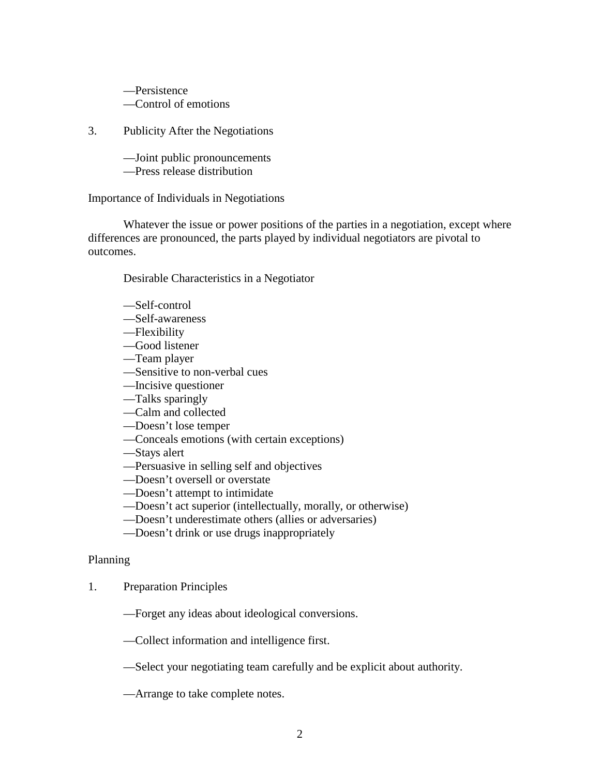—Persistence —Control of emotions

3. Publicity After the Negotiations

—Joint public pronouncements

—Press release distribution

Importance of Individuals in Negotiations

 Whatever the issue or power positions of the parties in a negotiation, except where differences are pronounced, the parts played by individual negotiators are pivotal to outcomes.

Desirable Characteristics in a Negotiator

- —Self-control
- —Self-awareness
- —Flexibility
- —Good listener
- —Team player
- —Sensitive to non-verbal cues
- —Incisive questioner
- —Talks sparingly
- —Calm and collected
- —Doesn't lose temper
- —Conceals emotions (with certain exceptions)
- —Stays alert
- —Persuasive in selling self and objectives
- —Doesn't oversell or overstate
- —Doesn't attempt to intimidate
- —Doesn't act superior (intellectually, morally, or otherwise)
- —Doesn't underestimate others (allies or adversaries)
- —Doesn't drink or use drugs inappropriately

#### Planning

- 1. Preparation Principles
	- —Forget any ideas about ideological conversions.
	- —Collect information and intelligence first.
	- —Select your negotiating team carefully and be explicit about authority.
	- —Arrange to take complete notes.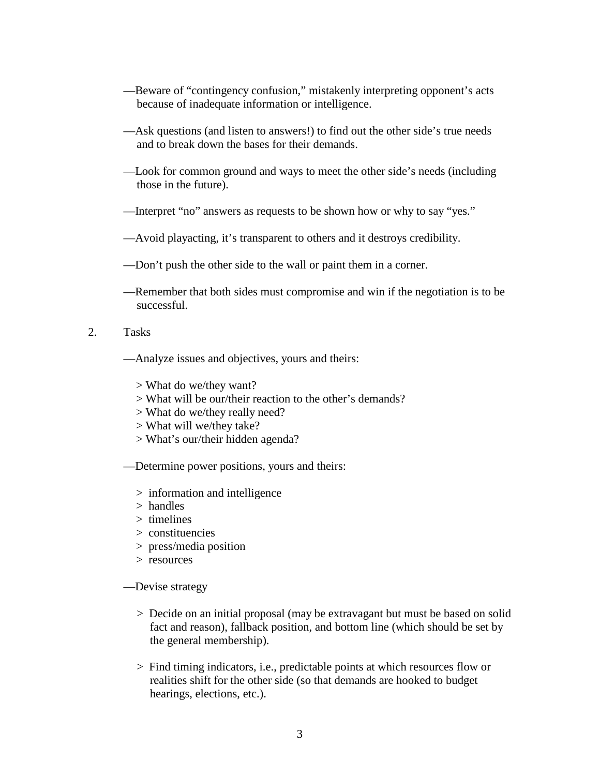- —Beware of "contingency confusion," mistakenly interpreting opponent's acts because of inadequate information or intelligence.
- —Ask questions (and listen to answers!) to find out the other side's true needs and to break down the bases for their demands.
- —Look for common ground and ways to meet the other side's needs (including those in the future).
- —Interpret "no" answers as requests to be shown how or why to say "yes."
- —Avoid playacting, it's transparent to others and it destroys credibility.
- —Don't push the other side to the wall or paint them in a corner.
- —Remember that both sides must compromise and win if the negotiation is to be successful.
- 2. Tasks
	- —Analyze issues and objectives, yours and theirs:
		- > What do we/they want?
		- > What will be our/their reaction to the other's demands?
		- > What do we/they really need?
		- > What will we/they take?
		- > What's our/their hidden agenda?
	- —Determine power positions, yours and theirs:
		- > information and intelligence
		- > handles
		- > timelines
		- > constituencies
		- > press/media position
		- > resources
	- —Devise strategy
		- > Decide on an initial proposal (may be extravagant but must be based on solid fact and reason), fallback position, and bottom line (which should be set by the general membership).
		- > Find timing indicators, i.e., predictable points at which resources flow or realities shift for the other side (so that demands are hooked to budget hearings, elections, etc.).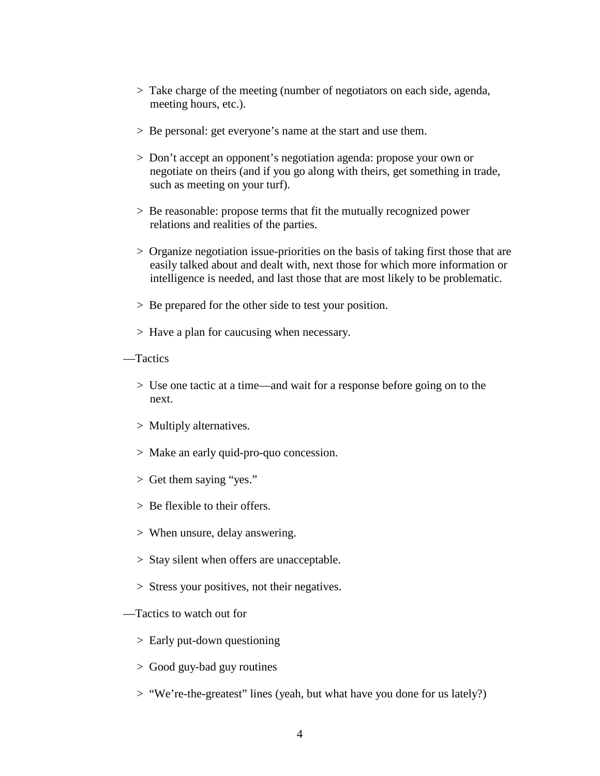- > Take charge of the meeting (number of negotiators on each side, agenda, meeting hours, etc.).
- > Be personal: get everyone's name at the start and use them.
- > Don't accept an opponent's negotiation agenda: propose your own or negotiate on theirs (and if you go along with theirs, get something in trade, such as meeting on your turf).
- > Be reasonable: propose terms that fit the mutually recognized power relations and realities of the parties.
- > Organize negotiation issue-priorities on the basis of taking first those that are easily talked about and dealt with, next those for which more information or intelligence is needed, and last those that are most likely to be problematic.
- > Be prepared for the other side to test your position.
- > Have a plan for caucusing when necessary.
- —Tactics
	- > Use one tactic at a time—and wait for a response before going on to the next.
	- > Multiply alternatives.
	- > Make an early quid-pro-quo concession.
	- > Get them saying "yes."
	- > Be flexible to their offers.
	- > When unsure, delay answering.
	- > Stay silent when offers are unacceptable.
	- > Stress your positives, not their negatives.
- —Tactics to watch out for
	- > Early put-down questioning
	- > Good guy-bad guy routines
	- > "We're-the-greatest" lines (yeah, but what have you done for us lately?)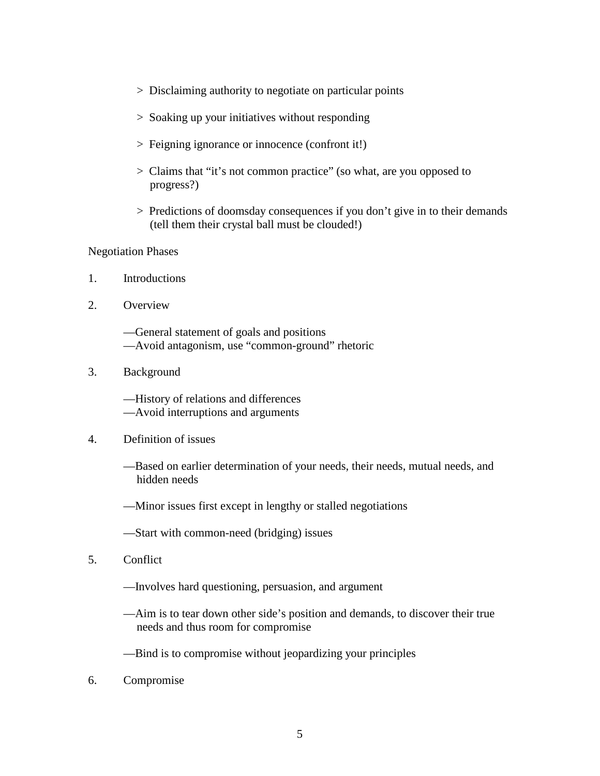- > Disclaiming authority to negotiate on particular points
- > Soaking up your initiatives without responding
- > Feigning ignorance or innocence (confront it!)
- > Claims that "it's not common practice" (so what, are you opposed to progress?)
- > Predictions of doomsday consequences if you don't give in to their demands (tell them their crystal ball must be clouded!)

#### Negotiation Phases

- 1. Introductions
- 2. Overview
	- —General statement of goals and positions —Avoid antagonism, use "common-ground" rhetoric
- 3. Background
	- —History of relations and differences
	- —Avoid interruptions and arguments

#### 4. Definition of issues

- —Based on earlier determination of your needs, their needs, mutual needs, and hidden needs
- —Minor issues first except in lengthy or stalled negotiations
- —Start with common-need (bridging) issues
- 5. Conflict
	- —Involves hard questioning, persuasion, and argument
	- —Aim is to tear down other side's position and demands, to discover their true needs and thus room for compromise
	- —Bind is to compromise without jeopardizing your principles
- 6. Compromise